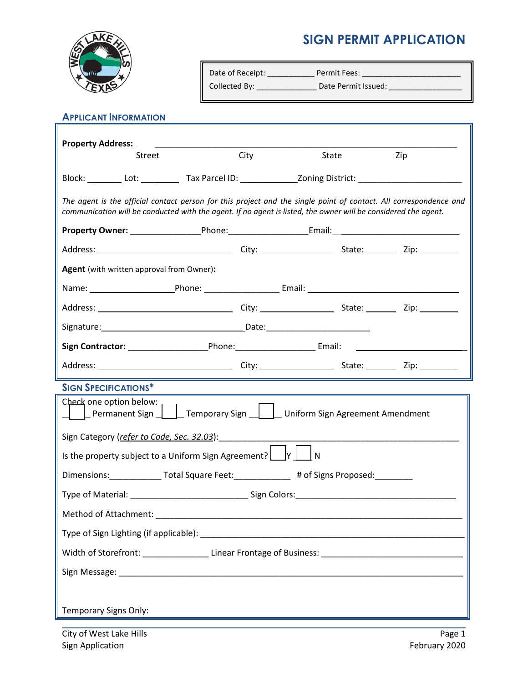## **SIGN PERMIT APPLICATION**



| " Date of Receipt: | <b>Permit Fees:</b> |  |
|--------------------|---------------------|--|
| Collected By:      | Date Permit Issued: |  |

## **APPLICANT INFORMATION**

| Property Address: ________________                                                                                                                                                                                                  |                                                                                    |       |     |  |  |
|-------------------------------------------------------------------------------------------------------------------------------------------------------------------------------------------------------------------------------------|------------------------------------------------------------------------------------|-------|-----|--|--|
| Street                                                                                                                                                                                                                              | City                                                                               | State | Zip |  |  |
|                                                                                                                                                                                                                                     |                                                                                    |       |     |  |  |
| The agent is the official contact person for this project and the single point of contact. All correspondence and<br>communication will be conducted with the agent. If no agent is listed, the owner will be considered the agent. |                                                                                    |       |     |  |  |
|                                                                                                                                                                                                                                     |                                                                                    |       |     |  |  |
|                                                                                                                                                                                                                                     |                                                                                    |       |     |  |  |
| <b>Agent</b> (with written approval from Owner):                                                                                                                                                                                    |                                                                                    |       |     |  |  |
|                                                                                                                                                                                                                                     |                                                                                    |       |     |  |  |
|                                                                                                                                                                                                                                     |                                                                                    |       |     |  |  |
|                                                                                                                                                                                                                                     |                                                                                    |       |     |  |  |
| Sign Contractor: _________________________Phone:_________________________Email: ______________________________                                                                                                                      |                                                                                    |       |     |  |  |
|                                                                                                                                                                                                                                     |                                                                                    |       |     |  |  |
| <b>SIGN SPECIFICATIONS*</b>                                                                                                                                                                                                         |                                                                                    |       |     |  |  |
| Check one option below:<br>  Lermanent Sign   Lemporary Sign   Luniform Sign Agreement Amendment                                                                                                                                    |                                                                                    |       |     |  |  |
| Sign Category (refer to Code, Sec. 32.03):                                                                                                                                                                                          |                                                                                    |       |     |  |  |
| Is the property subject to a Uniform Sign Agreement? $\Box Y \Box N$                                                                                                                                                                |                                                                                    |       |     |  |  |
| Dimensions: _______________ Total Square Feet: ______________ # of Signs Proposed: __________                                                                                                                                       |                                                                                    |       |     |  |  |
| Type of Material: ___________________________________Sign Colors:___________________________________                                                                                                                                |                                                                                    |       |     |  |  |
| Method of Attachment:                                                                                                                                                                                                               |                                                                                    |       |     |  |  |
|                                                                                                                                                                                                                                     |                                                                                    |       |     |  |  |
|                                                                                                                                                                                                                                     |                                                                                    |       |     |  |  |
|                                                                                                                                                                                                                                     |                                                                                    |       |     |  |  |
|                                                                                                                                                                                                                                     |                                                                                    |       |     |  |  |
| Temporary Signs Only:                                                                                                                                                                                                               | <u> 1989 - Johann Stein, mars an deus an deus Amerikaanse kommunister († 1958)</u> |       |     |  |  |